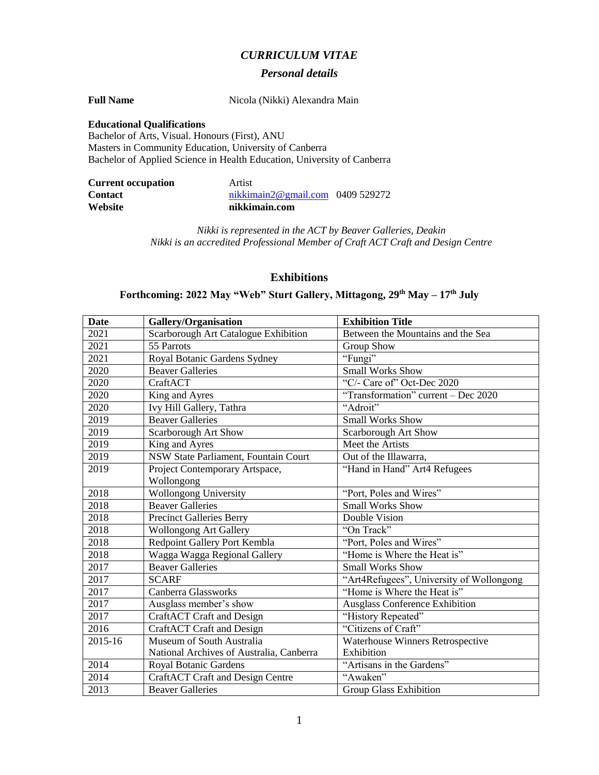### *CURRICULUM VITAE*

#### *Personal details*

**Full Name** Nicola (Nikki) Alexandra Main

#### **Educational Qualifications**

Bachelor of Arts, Visual. Honours (First), ANU Masters in Community Education, University of Canberra Bachelor of Applied Science in Health Education, University of Canberra

| Website                   | nikkimain.com                    |  |
|---------------------------|----------------------------------|--|
| <b>Contact</b>            | nikkimain2@gmail.com 0409 529272 |  |
| <b>Current occupation</b> | Artist                           |  |

*Nikki is represented in the ACT by Beaver Galleries, Deakin Nikki is an accredited Professional Member of Craft ACT Craft and Design Centre*

### **Exhibitions**

## **Forthcoming: 2022 May "Web" Sturt Gallery, Mittagong, 29th May – 17th July**

| <b>Date</b> | Gallery/Organisation<br><b>Exhibition Title</b>                           |                                          |
|-------------|---------------------------------------------------------------------------|------------------------------------------|
| 2021        | Between the Mountains and the Sea<br>Scarborough Art Catalogue Exhibition |                                          |
| 2021        | 55 Parrots<br>Group Show                                                  |                                          |
| 2021        | Royal Botanic Gardens Sydney<br>"Fungi"                                   |                                          |
| 2020        | <b>Beaver Galleries</b>                                                   | <b>Small Works Show</b>                  |
| 2020        | CraftACT                                                                  | "C/- Care of" Oct-Dec 2020               |
| 2020        | King and Ayres                                                            | "Transformation" current - Dec 2020      |
| 2020        | Ivy Hill Gallery, Tathra                                                  | "Adroit"                                 |
| 2019        | <b>Beaver Galleries</b>                                                   | <b>Small Works Show</b>                  |
| 2019        | <b>Scarborough Art Show</b>                                               | <b>Scarborough Art Show</b>              |
| 2019        | King and Ayres                                                            | Meet the Artists                         |
| 2019        | NSW State Parliament, Fountain Court<br>Out of the Illawarra,             |                                          |
| 2019        | Project Contemporary Artspace,                                            | "Hand in Hand" Art4 Refugees             |
|             | Wollongong                                                                |                                          |
| 2018        | <b>Wollongong University</b><br>"Port, Poles and Wires"                   |                                          |
| 2018        | <b>Beaver Galleries</b><br><b>Small Works Show</b>                        |                                          |
| 2018        | <b>Precinct Galleries Berry</b><br>Double Vision                          |                                          |
| 2018        | "On Track"<br><b>Wollongong Art Gallery</b>                               |                                          |
| 2018        | Redpoint Gallery Port Kembla                                              | "Port, Poles and Wires"                  |
| 2018        | Wagga Wagga Regional Gallery                                              | "Home is Where the Heat is"              |
| 2017        | <b>Beaver Galleries</b>                                                   | <b>Small Works Show</b>                  |
| 2017        | <b>SCARF</b>                                                              | "Art4Refugees", University of Wollongong |
| 2017        | Canberra Glassworks                                                       | "Home is Where the Heat is"              |
| 2017        | Ausglass member's show                                                    | Ausglass Conference Exhibition           |
| 2017        | CraftACT Craft and Design                                                 | "History Repeated"                       |
| 2016        | "Citizens of Craft"<br><b>CraftACT</b> Craft and Design                   |                                          |
| 2015-16     | Museum of South Australia                                                 | Waterhouse Winners Retrospective         |
|             | National Archives of Australia, Canberra                                  | Exhibition                               |
| 2014        | Royal Botanic Gardens                                                     | "Artisans in the Gardens"                |
| 2014        | <b>CraftACT Craft and Design Centre</b>                                   | "Awaken"                                 |
| 2013        | <b>Beaver Galleries</b>                                                   | <b>Group Glass Exhibition</b>            |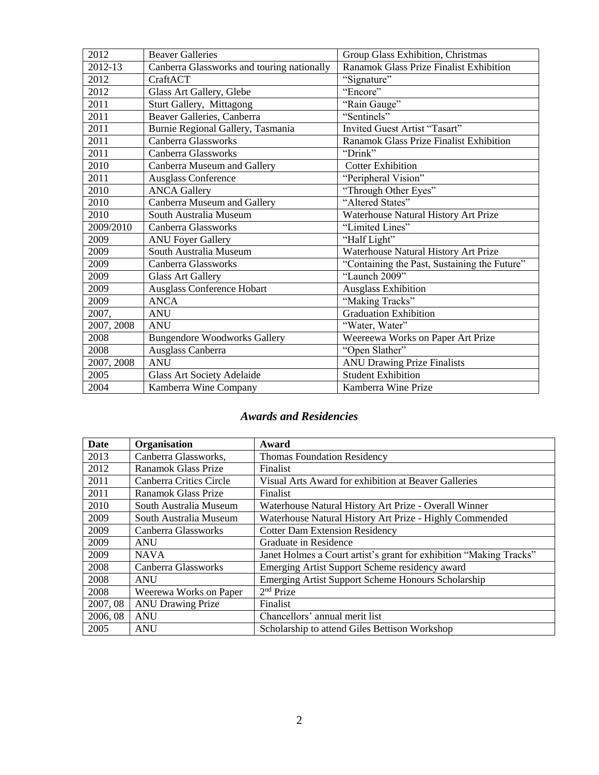| 2012       | <b>Beaver Galleries</b>                    | Group Glass Exhibition, Christmas            |
|------------|--------------------------------------------|----------------------------------------------|
| 2012-13    | Canberra Glassworks and touring nationally | Ranamok Glass Prize Finalist Exhibition      |
| 2012       | CraftACT                                   | "Signature"                                  |
| 2012       | Glass Art Gallery, Glebe                   | "Encore"                                     |
| 2011       | <b>Sturt Gallery, Mittagong</b>            | "Rain Gauge"                                 |
| 2011       | Beaver Galleries, Canberra                 | "Sentinels"                                  |
| 2011       | Burnie Regional Gallery, Tasmania          | Invited Guest Artist "Tasart"                |
| 2011       | Canberra Glassworks                        | Ranamok Glass Prize Finalist Exhibition      |
| 2011       | Canberra Glassworks                        | "Drink"                                      |
| 2010       | Canberra Museum and Gallery                | <b>Cotter Exhibition</b>                     |
| 2011       | <b>Ausglass Conference</b>                 | "Peripheral Vision"                          |
| 2010       | <b>ANCA Gallery</b>                        | "Through Other Eyes"                         |
| 2010       | Canberra Museum and Gallery                | "Altered States"                             |
| 2010       | South Australia Museum                     | Waterhouse Natural History Art Prize         |
| 2009/2010  | Canberra Glassworks                        | "Limited Lines"                              |
| 2009       | <b>ANU Foyer Gallery</b>                   | "Half Light"                                 |
| 2009       | South Australia Museum                     | Waterhouse Natural History Art Prize         |
| 2009       | <b>Canberra Glassworks</b>                 | "Containing the Past, Sustaining the Future" |
| 2009       | <b>Glass Art Gallery</b>                   | "Launch 2009"                                |
| 2009       | Ausglass Conference Hobart                 | <b>Ausglass Exhibition</b>                   |
| 2009       | <b>ANCA</b>                                | "Making Tracks"                              |
| 2007,      | <b>ANU</b>                                 | <b>Graduation Exhibition</b>                 |
| 2007, 2008 | <b>ANU</b>                                 | "Water, Water"                               |
| 2008       | <b>Bungendore Woodworks Gallery</b>        | Weereewa Works on Paper Art Prize            |
| 2008       | Ausglass Canberra                          | "Open Slather"                               |
| 2007, 2008 | <b>ANU</b>                                 | <b>ANU Drawing Prize Finalists</b>           |
| 2005       | <b>Glass Art Society Adelaide</b>          | <b>Student Exhibition</b>                    |
| 2004       | Kamberra Wine Company                      | Kamberra Wine Prize                          |

## *Awards and Residencies*

| Date     | Organisation               | Award                                                              |  |
|----------|----------------------------|--------------------------------------------------------------------|--|
| 2013     | Canberra Glassworks,       | <b>Thomas Foundation Residency</b>                                 |  |
| 2012     | Ranamok Glass Prize        | Finalist                                                           |  |
| 2011     | Canberra Critics Circle    | Visual Arts Award for exhibition at Beaver Galleries               |  |
| 2011     | <b>Ranamok Glass Prize</b> | Finalist                                                           |  |
| 2010     | South Australia Museum     | Waterhouse Natural History Art Prize - Overall Winner              |  |
| 2009     | South Australia Museum     | Waterhouse Natural History Art Prize - Highly Commended            |  |
| 2009     | Canberra Glassworks        | <b>Cotter Dam Extension Residency</b>                              |  |
| 2009     | <b>ANU</b>                 | Graduate in Residence                                              |  |
| 2009     | <b>NAVA</b>                | Janet Holmes a Court artist's grant for exhibition "Making Tracks" |  |
| 2008     | Canberra Glassworks        | Emerging Artist Support Scheme residency award                     |  |
| 2008     | <b>ANU</b>                 | <b>Emerging Artist Support Scheme Honours Scholarship</b>          |  |
| 2008     | Weerewa Works on Paper     | $2nd$ Prize                                                        |  |
| 2007, 08 | <b>ANU Drawing Prize</b>   | Finalist                                                           |  |
| 2006, 08 | <b>ANU</b>                 | Chancellors' annual merit list                                     |  |
| 2005     | <b>ANU</b>                 | Scholarship to attend Giles Bettison Workshop                      |  |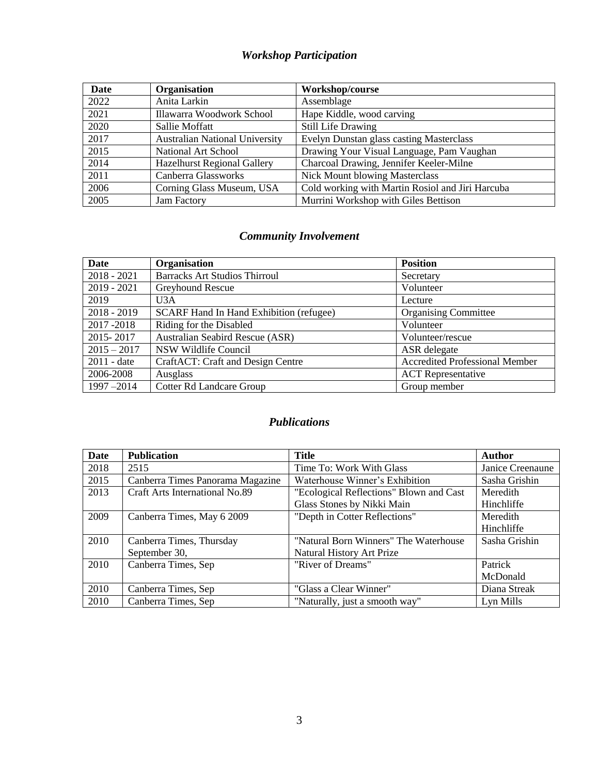# *Workshop Participation*

| Date | Organisation                          | Workshop/course                                  |
|------|---------------------------------------|--------------------------------------------------|
| 2022 | Anita Larkin                          | Assemblage                                       |
| 2021 | Illawarra Woodwork School             | Hape Kiddle, wood carving                        |
| 2020 | Sallie Moffatt                        | <b>Still Life Drawing</b>                        |
| 2017 | <b>Australian National University</b> | Evelyn Dunstan glass casting Masterclass         |
| 2015 | National Art School                   | Drawing Your Visual Language, Pam Vaughan        |
| 2014 | <b>Hazelhurst Regional Gallery</b>    | Charcoal Drawing, Jennifer Keeler-Milne          |
| 2011 | Canberra Glassworks                   | <b>Nick Mount blowing Masterclass</b>            |
| 2006 | Corning Glass Museum, USA             | Cold working with Martin Rosiol and Jiri Harcuba |
| 2005 | Jam Factory                           | Murrini Workshop with Giles Bettison             |

## *Community Involvement*

| <b>Date</b>                       | Organisation                                   | <b>Position</b>                       |  |
|-----------------------------------|------------------------------------------------|---------------------------------------|--|
| $2018 - 2021$                     | <b>Barracks Art Studios Thirroul</b>           | Secretary                             |  |
| $2019 - 2021$<br>Greyhound Rescue |                                                | Volunteer                             |  |
| 2019                              | U3A                                            | Lecture                               |  |
| $2018 - 2019$                     | <b>SCARF Hand In Hand Exhibition (refugee)</b> | <b>Organising Committee</b>           |  |
| 2017-2018                         | Riding for the Disabled                        | Volunteer                             |  |
| 2015-2017                         | <b>Australian Seabird Rescue (ASR)</b>         | Volunteer/rescue                      |  |
| $2015 - 2017$                     | NSW Wildlife Council                           | ASR delegate                          |  |
| $2011 - date$                     | CraftACT: Craft and Design Centre              | <b>Accredited Professional Member</b> |  |
| 2006-2008                         | Ausglass                                       | <b>ACT</b> Representative             |  |
| $1997 - 2014$                     | <b>Cotter Rd Landcare Group</b>                | Group member                          |  |

## *Publications*

| Date | <b>Publication</b>                    | Title                                   | <b>Author</b>    |
|------|---------------------------------------|-----------------------------------------|------------------|
| 2018 | 2515                                  | Time To: Work With Glass                | Janice Creenaune |
| 2015 | Canberra Times Panorama Magazine      | Waterhouse Winner's Exhibition          | Sasha Grishin    |
| 2013 | <b>Craft Arts International No.89</b> | "Ecological Reflections" Blown and Cast | Meredith         |
|      |                                       | Glass Stones by Nikki Main              | Hinchliffe       |
| 2009 | Canberra Times, May 6 2009            | "Depth in Cotter Reflections"           | Meredith         |
|      |                                       |                                         | Hinchliffe       |
| 2010 | Canberra Times, Thursday              | "Natural Born Winners" The Waterhouse   | Sasha Grishin    |
|      | September 30,                         | <b>Natural History Art Prize</b>        |                  |
| 2010 | Canberra Times, Sep                   | "River of Dreams"                       | Patrick          |
|      |                                       |                                         | McDonald         |
| 2010 | Canberra Times, Sep                   | "Glass a Clear Winner"                  | Diana Streak     |
| 2010 | Canberra Times, Sep                   | "Naturally, just a smooth way"          | Lyn Mills        |